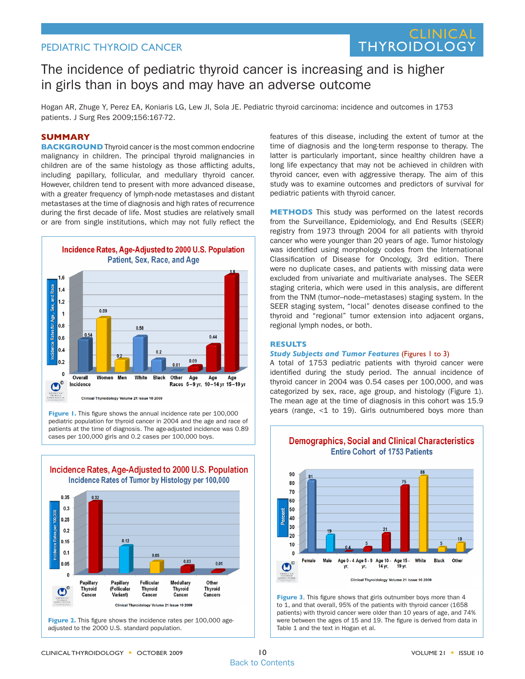## PEDIATRIC THYROID CANCER

## **CLINIC THYROIDOLOGY**

# The incidence of pediatric thyroid cancer is increasing and is higher in girls than in boys and may have an adverse outcome

Hogan AR, Zhuge Y, Perez EA, Koniaris LG, Lew JI, Sola JE. Pediatric thyroid carcinoma: incidence and outcomes in 1753 patients. J Surg Res 2009;156:167-72.

#### **SUMMARY**

**BACKGROUND** Thyroid cancer is the most common endocrine malignancy in children. The principal thyroid malignancies in children are of the same histology as those afflicting adults, including papillary, follicular, and medullary thyroid cancer. However, children tend to present with more advanced disease, with a greater frequency of lymph-node metastases and distant metastases at the time of diagnosis and high rates of recurrence during the first decade of life. Most studies are relatively small or are from single institutions, which may not fully reflect the



**Figure 1.** This figure shows the annual incidence rate per 100,000 pediatric population for thyroid cancer in 2004 and the age and race of patients at the time of diagnosis. The age-adjusted incidence was 0.89 cases per 100,000 girls and 0.2 cases per 100,000 boys.



**Figure 2.** This figure shows the incidence rates per 100,000 ageadjusted to the 2000 U.S. standard population.

features of this disease, including the extent of tumor at the time of diagnosis and the long-term response to therapy. The latter is particularly important, since healthy children have a long life expectancy that may not be achieved in children with thyroid cancer, even with aggressive therapy. The aim of this study was to examine outcomes and predictors of survival for pediatric patients with thyroid cancer.

**METHODS** This study was performed on the latest records from the Surveillance, Epidemiology, and End Results (SEER) registry from 1973 through 2004 for all patients with thyroid cancer who were younger than 20 years of age. Tumor histology was identified using morphology codes from the International Classification of Disease for Oncology, 3rd edition. There were no duplicate cases, and patients with missing data were excluded from univariate and multivariate analyses. The SEER staging criteria, which were used in this analysis, are different from the TNM (tumor–node–metastases) staging system. In the SEER staging system, "local" denotes disease confined to the thyroid and "regional" tumor extension into adjacent organs, regional lymph nodes, or both.

#### **RESULTS**

#### *Study Subjects and Tumor Features* (Figures 1 to 3)

A total of 1753 pediatric patients with thyroid cancer were identified during the study period. The annual incidence of thyroid cancer in 2004 was 0.54 cases per 100,000, and was categorized by sex, race, age group, and histology (Figure 1). The mean age at the time of diagnosis in this cohort was 15.9 years (range, <1 to 19). Girls outnumbered boys more than



**Figure 3**. This figure shows that girls outnumber boys more than 4 to 1, and that overall, 95% of the patients with thyroid cancer (1658 patients) with thyroid cancer were older than 10 years of age, and 74% were between the ages of 15 and 19. The figure is derived from data in Table 1 and the text in Hogan et al.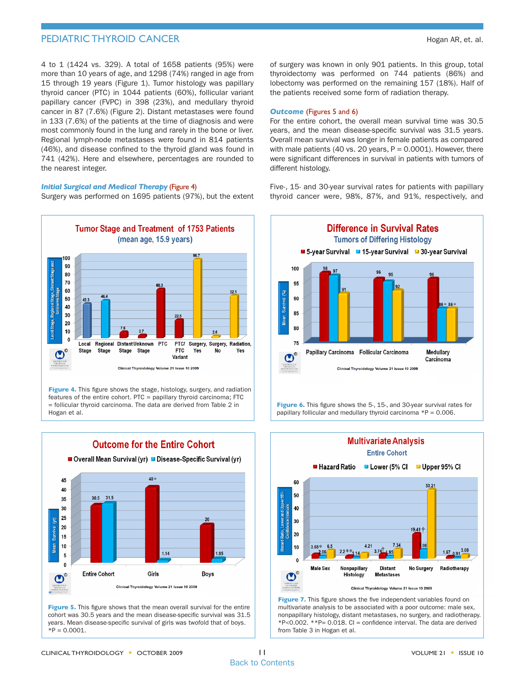## **PEDIATRIC THYROID CANCER Hogan AR, et. al. Hogan AR, et. al. Hogan AR, et. al.**

4 to 1 (1424 vs. 329). A total of 1658 patients (95%) were more than 10 years of age, and 1298 (74%) ranged in age from 15 through 19 years (Figure 1). Tumor histology was papillary thyroid cancer (PTC) in 1044 patients (60%), follicular variant papillary cancer (FVPC) in 398 (23%), and medullary thyroid cancer in 87 (7.6%) (Figure 2). Distant metastases were found in 133 (7.6%) of the patients at the time of diagnosis and were most commonly found in the lung and rarely in the bone or liver. Regional lymph-node metastases were found in 814 patients (46%), and disease confined to the thyroid gland was found in 741 (42%). Here and elsewhere, percentages are rounded to the nearest integer.

#### *Initial Surgical and Medical Therapy* (Figure 4)

Surgery was performed on 1695 patients (97%), but the extent



**Figure 4.** This figure shows the stage, histology, surgery, and radiation features of the entire cohort. PTC = papillary thyroid carcinoma; FTC = follicular thyroid carcinoma. The data are derived from Table 2 in Hogan et al.



**Figure 5.** This figure shows that the mean overall survival for the entire cohort was 30.5 years and the mean disease-specific survival was 31.5 years. Mean disease-specific survival of girls was twofold that of boys.  $*P = 0.0001$ 

of surgery was known in only 901 patients. In this group, total thyroidectomy was performed on 744 patients (86%) and lobectomy was performed on the remaining 157 (18%). Half of the patients received some form of radiation therapy.

#### *Outcome* (Figures 5 and 6)

For the entire cohort, the overall mean survival time was 30.5 years, and the mean disease-specific survival was 31.5 years. Overall mean survival was longer in female patients as compared with male patients (40 vs. 20 years,  $P = 0.0001$ ). However, there were significant differences in survival in patients with tumors of different histology.

Five-, 15- and 30-year survival rates for patients with papillary thyroid cancer were, 98%, 87%, and 91%, respectively, and



**Figure 6.** This figure shows the 5-, 15-, and 30-year survival rates for papillary follicular and medullary thyroid carcinoma  $*P = 0.006$ .



**Figure 7.** This figure shows the five independent variables found on multivariate analysis to be associated with a poor outcome: male sex, nonpapillary histology, distant metastases, no surgery, and radiotherapy.  $*P<0.002$ .  $*P= 0.018$ . CI = confidence interval. The data are derived from Table 3 in Hogan et al.